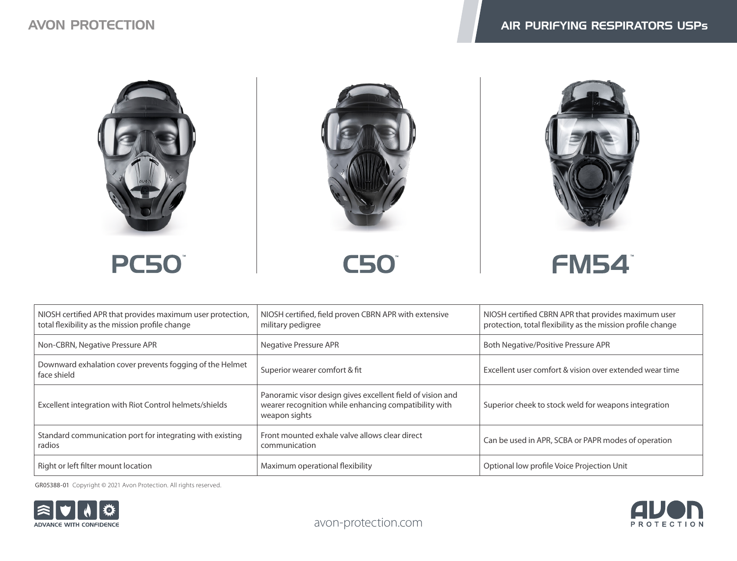





**C50** 



| NIOSH certified APR that provides maximum user protection,<br>total flexibility as the mission profile change | NIOSH certified, field proven CBRN APR with extensive<br>military pedigree                                                           | NIOSH certified CBRN APR that provides maximum user<br>protection, total flexibility as the mission profile change |
|---------------------------------------------------------------------------------------------------------------|--------------------------------------------------------------------------------------------------------------------------------------|--------------------------------------------------------------------------------------------------------------------|
| Non-CBRN, Negative Pressure APR                                                                               | Negative Pressure APR                                                                                                                | Both Negative/Positive Pressure APR                                                                                |
| Downward exhalation cover prevents fogging of the Helmet<br>face shield                                       | Superior wearer comfort & fit                                                                                                        | Excellent user comfort & vision over extended wear time                                                            |
| Excellent integration with Riot Control helmets/shields                                                       | Panoramic visor design gives excellent field of vision and<br>wearer recognition while enhancing compatibility with<br>weapon sights | Superior cheek to stock weld for weapons integration                                                               |
| Standard communication port for integrating with existing<br>radios                                           | Front mounted exhale valve allows clear direct<br>communication                                                                      | Can be used in APR, SCBA or PAPR modes of operation                                                                |
| Right or left filter mount location                                                                           | Maximum operational flexibility                                                                                                      | Optional low profile Voice Projection Unit                                                                         |

GR05388-01 Copyright © 2021 Avon Protection. All rights reserved.